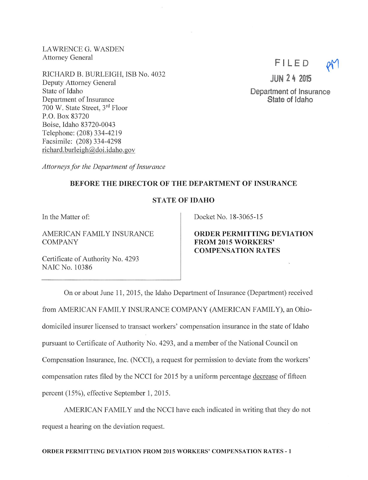LAWRENCE G. WASDEN Attorney General

RICHARD B. BURLEIGH, ISB No. 4032 Deputy Attorney General State of Idaho Department of Insurance 700 W. State Street, 3^^ Floor P.O. Box 83720 Boise, Idaho 83720-0043 Telephone: (208)334-4219 Facsimile: (208) 334-4298 richard.burleigh@doi.idaho.gov

Attorneys for the Department of Insurance

## BEFORE THE DIRECTOR OF THE DEPARTMENT OF INSURANCE

## STATE OF IDAHO

In the Matter of:

AMERICAN FAMILY INSURANCE COMPANY

Certificate of Authority No. 4293 NAIC No. 10386

Docket No. 18-3065-15

ORDER PERMITTING DEVIATION FROM 2015 WORKERS' COMPENSATION RATES

On or about June 11, 2015, the Idaho Department of Insurance (Department) received from AMERICAN FAMILY INSURANCE COMPANY (AMERICAN FAMILY), an Ohiodomiciled insurer licensed to transact workers' compensation insurance in the state of Idaho pursuant to Certificate of Authority No. 4293, and a member ofthe National Council on Compensation Insurance, Inc. (NCCI), a request for permission to deviate from the workers' compensation rates filed by the NCCI for 2015 by a uniform percentage decrease of fifteen percent (15%), effective September 1, 2015.

AMERICAN FAMILY and the NCCI have each indicated in writing that they do not request a hearing on the deviation request.



JUN 2 4 2015

Department of Insurance State of Idaho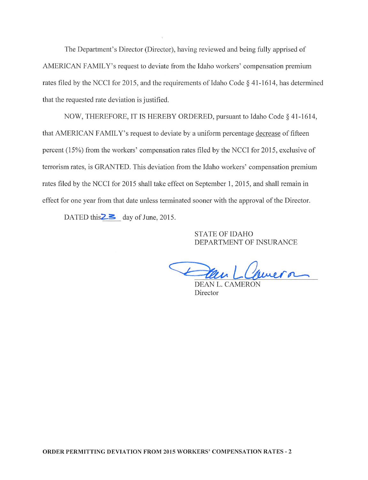The Department's Director (Director), having reviewed and being fully apprised of AMERICAN FAMILY's request to deviate from the Idaho workers' compensation premium rates filed by the NCCI for 2015, and the requirements of Idaho Code  $\S$  41-1614, has determined that the requested rate deviation is justified.

NOW, THEREFORE, IT IS HEREBY ORDERED, pursuant to Idaho Code § 41-1614, that AMERICAN FAMILY's request to deviate by a uniform percentage decrease of fifteen percent (15%) from the workers' compensation rates filed by the NCCI for 2015, exclusive of terrorism rates, is GRANTED. This deviation from the Idaho workers' compensation premium rates filed by the NCCI for 2015 shall take effect on September 1, 2015, and shall remain in effect for one year from that date unless terminated sooner with the approval of the Director.

DATED this  $\geq$  day of June, 2015.

STATE OF IDAHO DEPARTMENT OF INSURANCE

Lamera

DEAN L. CAMEROI Director